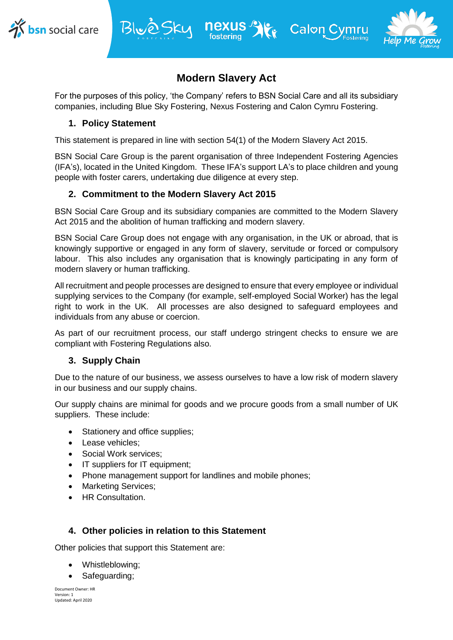



# **Modern Slavery Act**

**Kr** Calon C

For the purposes of this policy, 'the Company' refers to BSN Social Care and all its subsidiary companies, including Blue Sky Fostering, Nexus Fostering and Calon Cymru Fostering.

## **1. Policy Statement**

This statement is prepared in line with section 54(1) of the Modern Slavery Act 2015.

Blue Sky nexus 9

BSN Social Care Group is the parent organisation of three Independent Fostering Agencies (IFA's), located in the United Kingdom. These IFA's support LA's to place children and young people with foster carers, undertaking due diligence at every step.

### **2. Commitment to the Modern Slavery Act 2015**

BSN Social Care Group and its subsidiary companies are committed to the Modern Slavery Act 2015 and the abolition of human trafficking and modern slavery.

BSN Social Care Group does not engage with any organisation, in the UK or abroad, that is knowingly supportive or engaged in any form of slavery, servitude or forced or compulsory labour. This also includes any organisation that is knowingly participating in any form of modern slavery or human trafficking.

All recruitment and people processes are designed to ensure that every employee or individual supplying services to the Company (for example, self-employed Social Worker) has the legal right to work in the UK. All processes are also designed to safeguard employees and individuals from any abuse or coercion.

As part of our recruitment process, our staff undergo stringent checks to ensure we are compliant with Fostering Regulations also.

#### **3. Supply Chain**

Due to the nature of our business, we assess ourselves to have a low risk of modern slavery in our business and our supply chains.

Our supply chains are minimal for goods and we procure goods from a small number of UK suppliers. These include:

- Stationery and office supplies;
- Lease vehicles:
- Social Work services;
- IT suppliers for IT equipment:
- Phone management support for landlines and mobile phones;
- Marketing Services;
- **•** HR Consultation.

#### **4. Other policies in relation to this Statement**

Other policies that support this Statement are:

- Whistleblowing;
- Safeguarding;

Document Owner: HR Version: 1 Updated: April 2020